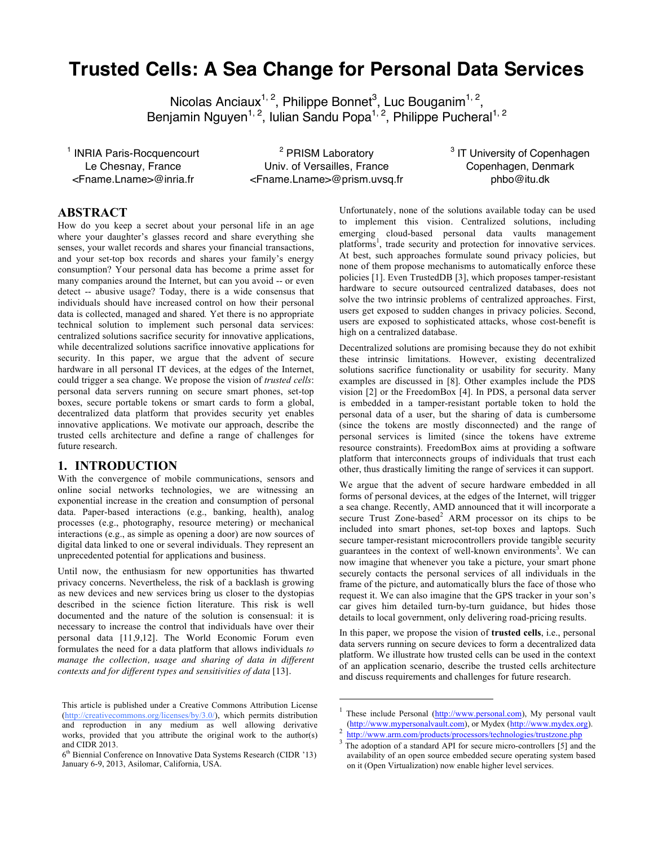# **Trusted Cells: A Sea Change for Personal Data Services**

Nicolas Anciaux<sup>1, 2</sup>, Philippe Bonnet<sup>3</sup>, Luc Bouganim<sup>1, 2</sup>, Benjamin Nguyen<sup>1, 2</sup>, Iulian Sandu Popa<sup>1, 2</sup>, Philippe Pucheral<sup>1, 2</sup>

<sup>1</sup> INRIA Paris-Rocquencourt Le Chesnay, France <Fname.Lname>@inria.fr

<sup>2</sup> PRISM Laboratory Univ. of Versailles, France <Fname.Lname>@prism.uvsq.fr

 $\overline{a}$ 

<sup>3</sup> IT University of Copenhagen Copenhagen, Denmark phbo@itu.dk

## **ABSTRACT**

How do you keep a secret about your personal life in an age where your daughter's glasses record and share everything she senses, your wallet records and shares your financial transactions, and your set-top box records and shares your family's energy consumption? Your personal data has become a prime asset for many companies around the Internet, but can you avoid -- or even detect -- abusive usage? Today, there is a wide consensus that individuals should have increased control on how their personal data is collected, managed and shared*.* Yet there is no appropriate technical solution to implement such personal data services: centralized solutions sacrifice security for innovative applications, while decentralized solutions sacrifice innovative applications for security. In this paper, we argue that the advent of secure hardware in all personal IT devices, at the edges of the Internet, could trigger a sea change. We propose the vision of *trusted cells*: personal data servers running on secure smart phones, set-top boxes, secure portable tokens or smart cards to form a global, decentralized data platform that provides security yet enables innovative applications. We motivate our approach, describe the trusted cells architecture and define a range of challenges for future research.

# **1. INTRODUCTION**

With the convergence of mobile communications, sensors and online social networks technologies, we are witnessing an exponential increase in the creation and consumption of personal data. Paper-based interactions (e.g., banking, health), analog processes (e.g., photography, resource metering) or mechanical interactions (e.g., as simple as opening a door) are now sources of digital data linked to one or several individuals. They represent an unprecedented potential for applications and business.

Until now, the enthusiasm for new opportunities has thwarted privacy concerns. Nevertheless, the risk of a backlash is growing as new devices and new services bring us closer to the dystopias described in the science fiction literature. This risk is well documented and the nature of the solution is consensual: it is necessary to increase the control that individuals have over their personal data [11,9,12]*.* The World Economic Forum even formulates the need for a data platform that allows individuals *to manage the collection, usage and sharing of data in different contexts and for different types and sensitivities of data* [13].

Unfortunately, none of the solutions available today can be used to implement this vision. Centralized solutions, including emerging cloud-based personal data vaults management platforms<sup>1</sup>, trade security and protection for innovative services. At best, such approaches formulate sound privacy policies, but none of them propose mechanisms to automatically enforce these policies [1]. Even TrustedDB [3], which proposes tamper-resistant hardware to secure outsourced centralized databases, does not solve the two intrinsic problems of centralized approaches. First, users get exposed to sudden changes in privacy policies. Second, users are exposed to sophisticated attacks, whose cost-benefit is high on a centralized database.

Decentralized solutions are promising because they do not exhibit these intrinsic limitations. However, existing decentralized solutions sacrifice functionality or usability for security. Many examples are discussed in [8]. Other examples include the PDS vision [2] or the FreedomBox [4]. In PDS, a personal data server is embedded in a tamper-resistant portable token to hold the personal data of a user, but the sharing of data is cumbersome (since the tokens are mostly disconnected) and the range of personal services is limited (since the tokens have extreme resource constraints). FreedomBox aims at providing a software platform that interconnects groups of individuals that trust each other, thus drastically limiting the range of services it can support.

We argue that the advent of secure hardware embedded in all forms of personal devices, at the edges of the Internet, will trigger a sea change. Recently, AMD announced that it will incorporate a secure Trust Zone-based<sup>2</sup> ARM processor on its chips to be included into smart phones, set-top boxes and laptops. Such secure tamper-resistant microcontrollers provide tangible security guarantees in the context of well-known environments<sup>3</sup>. We can now imagine that whenever you take a picture, your smart phone securely contacts the personal services of all individuals in the frame of the picture, and automatically blurs the face of those who request it. We can also imagine that the GPS tracker in your son's car gives him detailed turn-by-turn guidance, but hides those details to local government, only delivering road-pricing results.

In this paper, we propose the vision of **trusted cells**, i.e., personal data servers running on secure devices to form a decentralized data platform. We illustrate how trusted cells can be used in the context of an application scenario, describe the trusted cells architecture and discuss requirements and challenges for future research.

This article is published under a Creative Commons Attribution License (http://creativecommons.org/licenses/by/3.0/), which permits distribution and reproduction in any medium as well allowing derivative works, provided that you attribute the original work to the author(s) and CIDR 2013.

<sup>6</sup>th Biennial Conference on Innovative Data Systems Research (CIDR '13) January 6-9, 2013, Asilomar, California, USA.

<sup>&</sup>lt;sup>1</sup> These include Personal (http://www.personal.com), My personal vault (http://www.mypersonalvault.com), or Mydex (http://www.mydex.org).<br>http://www.arm.com/products/processors/technologies/trustzone.php

 $\frac{3}{8}$  The adoption of a standard API for secure micro-controllers [5] and the availability of an open source embedded secure operating system based on it (Open Virtualization) now enable higher level services.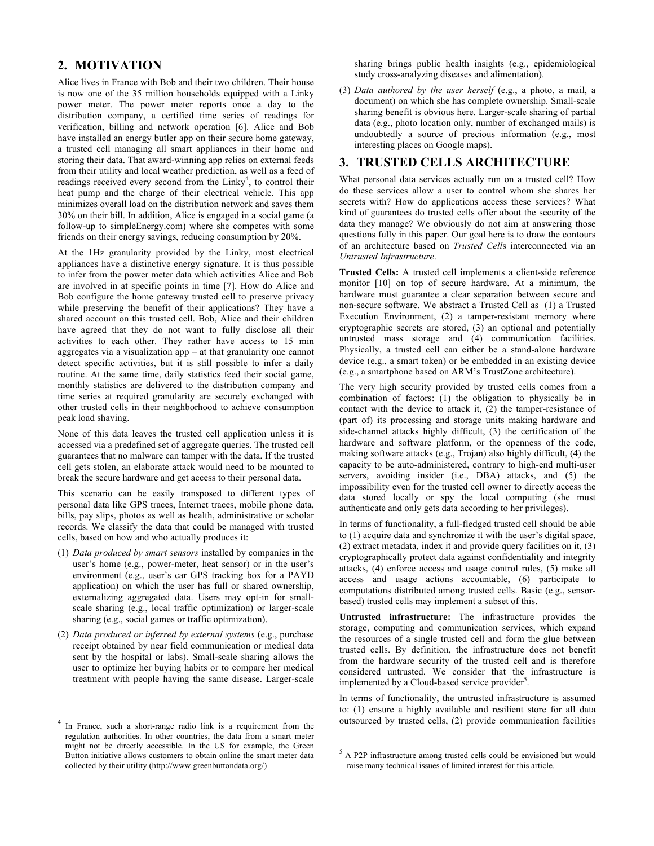## **2. MOTIVATION**

Alice lives in France with Bob and their two children. Their house is now one of the 35 million households equipped with a Linky power meter. The power meter reports once a day to the distribution company, a certified time series of readings for verification, billing and network operation [6]. Alice and Bob have installed an energy butler app on their secure home gateway, a trusted cell managing all smart appliances in their home and storing their data. That award-winning app relies on external feeds from their utility and local weather prediction, as well as a feed of readings received every second from the  $Linky<sup>4</sup>$ , to control their heat pump and the charge of their electrical vehicle. This app minimizes overall load on the distribution network and saves them 30% on their bill. In addition, Alice is engaged in a social game (a follow-up to simpleEnergy.com) where she competes with some friends on their energy savings, reducing consumption by 20%.

At the 1Hz granularity provided by the Linky, most electrical appliances have a distinctive energy signature. It is thus possible to infer from the power meter data which activities Alice and Bob are involved in at specific points in time [7]. How do Alice and Bob configure the home gateway trusted cell to preserve privacy while preserving the benefit of their applications? They have a shared account on this trusted cell. Bob, Alice and their children have agreed that they do not want to fully disclose all their activities to each other. They rather have access to 15 min aggregates via a visualization app – at that granularity one cannot detect specific activities, but it is still possible to infer a daily routine. At the same time, daily statistics feed their social game, monthly statistics are delivered to the distribution company and time series at required granularity are securely exchanged with other trusted cells in their neighborhood to achieve consumption peak load shaving.

None of this data leaves the trusted cell application unless it is accessed via a predefined set of aggregate queries. The trusted cell guarantees that no malware can tamper with the data. If the trusted cell gets stolen, an elaborate attack would need to be mounted to break the secure hardware and get access to their personal data.

This scenario can be easily transposed to different types of personal data like GPS traces, Internet traces, mobile phone data, bills, pay slips, photos as well as health, administrative or scholar records. We classify the data that could be managed with trusted cells, based on how and who actually produces it:

- (1) *Data produced by smart sensors* installed by companies in the user's home (e.g., power-meter, heat sensor) or in the user's environment (e.g., user's car GPS tracking box for a PAYD application) on which the user has full or shared ownership, externalizing aggregated data. Users may opt-in for smallscale sharing (e.g., local traffic optimization) or larger-scale sharing (e.g., social games or traffic optimization).
- (2) *Data produced or inferred by external systems* (e.g., purchase receipt obtained by near field communication or medical data sent by the hospital or labs). Small-scale sharing allows the user to optimize her buying habits or to compare her medical treatment with people having the same disease. Larger-scale

 $\overline{a}$ 

sharing brings public health insights (e.g., epidemiological study cross-analyzing diseases and alimentation).

(3) *Data authored by the user herself* (e.g., a photo, a mail, a document) on which she has complete ownership. Small-scale sharing benefit is obvious here. Larger-scale sharing of partial data (e.g., photo location only, number of exchanged mails) is undoubtedly a source of precious information (e.g., most interesting places on Google maps).

### **3. TRUSTED CELLS ARCHITECTURE**

What personal data services actually run on a trusted cell? How do these services allow a user to control whom she shares her secrets with? How do applications access these services? What kind of guarantees do trusted cells offer about the security of the data they manage? We obviously do not aim at answering those questions fully in this paper. Our goal here is to draw the contours of an architecture based on *Trusted Cell*s interconnected via an *Untrusted Infrastructure*.

**Trusted Cells:** A trusted cell implements a client-side reference monitor [10] on top of secure hardware. At a minimum, the hardware must guarantee a clear separation between secure and non-secure software. We abstract a Trusted Cell as (1) a Trusted Execution Environment, (2) a tamper-resistant memory where cryptographic secrets are stored, (3) an optional and potentially untrusted mass storage and (4) communication facilities. Physically, a trusted cell can either be a stand-alone hardware device (e.g., a smart token) or be embedded in an existing device (e.g., a smartphone based on ARM's TrustZone architecture).

The very high security provided by trusted cells comes from a combination of factors: (1) the obligation to physically be in contact with the device to attack it, (2) the tamper-resistance of (part of) its processing and storage units making hardware and side-channel attacks highly difficult, (3) the certification of the hardware and software platform, or the openness of the code, making software attacks (e.g., Trojan) also highly difficult, (4) the capacity to be auto-administered, contrary to high-end multi-user servers, avoiding insider (i.e., DBA) attacks, and (5) the impossibility even for the trusted cell owner to directly access the data stored locally or spy the local computing (she must authenticate and only gets data according to her privileges).

In terms of functionality, a full-fledged trusted cell should be able to (1) acquire data and synchronize it with the user's digital space, (2) extract metadata, index it and provide query facilities on it, (3) cryptographically protect data against confidentiality and integrity attacks, (4) enforce access and usage control rules, (5) make all access and usage actions accountable, (6) participate to computations distributed among trusted cells. Basic (e.g., sensorbased) trusted cells may implement a subset of this.

**Untrusted infrastructure:** The infrastructure provides the storage, computing and communication services, which expand the resources of a single trusted cell and form the glue between trusted cells. By definition, the infrastructure does not benefit from the hardware security of the trusted cell and is therefore considered untrusted. We consider that the infrastructure is implemented by a Cloud-based service provider<sup>5</sup>.

In terms of functionality, the untrusted infrastructure is assumed to: (1) ensure a highly available and resilient store for all data outsourced by trusted cells, (2) provide communication facilities

 $\overline{a}$ 

In France, such a short-range radio link is a requirement from the regulation authorities. In other countries, the data from a smart meter might not be directly accessible. In the US for example, the Green Button initiative allows customers to obtain online the smart meter data collected by their utility (http://www.greenbuttondata.org/)

 $<sup>5</sup>$  A P2P infrastructure among trusted cells could be envisioned but would</sup> raise many technical issues of limited interest for this article.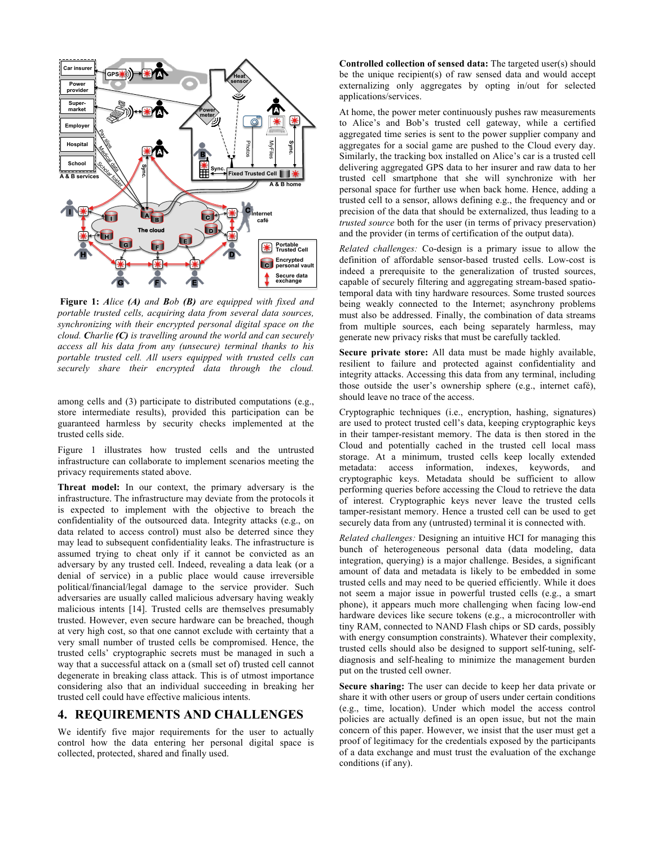

**Figure 1:** *Alice (A) and Bob (B) are equipped with fixed and portable trusted cells, acquiring data from several data sources, synchronizing with their encrypted personal digital space on the cloud. Charlie (C) is travelling around the world and can securely access all his data from any (unsecure) terminal thanks to his portable trusted cell. All users equipped with trusted cells can securely share their encrypted data through the cloud.*

among cells and (3) participate to distributed computations (e.g., store intermediate results), provided this participation can be guaranteed harmless by security checks implemented at the trusted cells side.

Figure 1 illustrates how trusted cells and the untrusted infrastructure can collaborate to implement scenarios meeting the privacy requirements stated above.

**Threat model:** In our context, the primary adversary is the infrastructure. The infrastructure may deviate from the protocols it is expected to implement with the objective to breach the confidentiality of the outsourced data. Integrity attacks (e.g., on data related to access control) must also be deterred since they may lead to subsequent confidentiality leaks. The infrastructure is assumed trying to cheat only if it cannot be convicted as an adversary by any trusted cell. Indeed, revealing a data leak (or a denial of service) in a public place would cause irreversible political/financial/legal damage to the service provider. Such adversaries are usually called malicious adversary having weakly malicious intents [14]. Trusted cells are themselves presumably trusted. However, even secure hardware can be breached, though at very high cost, so that one cannot exclude with certainty that a very small number of trusted cells be compromised. Hence, the trusted cells' cryptographic secrets must be managed in such a way that a successful attack on a (small set of) trusted cell cannot degenerate in breaking class attack. This is of utmost importance considering also that an individual succeeding in breaking her trusted cell could have effective malicious intents.

#### **4. REQUIREMENTS AND CHALLENGES**

We identify five major requirements for the user to actually control how the data entering her personal digital space is collected, protected, shared and finally used.

**Controlled collection of sensed data:** The targeted user(s) should be the unique recipient(s) of raw sensed data and would accept externalizing only aggregates by opting in/out for selected applications/services.

At home, the power meter continuously pushes raw measurements to Alice's and Bob's trusted cell gateway, while a certified aggregated time series is sent to the power supplier company and aggregates for a social game are pushed to the Cloud every day. Similarly, the tracking box installed on Alice's car is a trusted cell delivering aggregated GPS data to her insurer and raw data to her trusted cell smartphone that she will synchronize with her personal space for further use when back home. Hence, adding a trusted cell to a sensor, allows defining e.g., the frequency and or precision of the data that should be externalized, thus leading to a *trusted source* both for the user (in terms of privacy preservation) and the provider (in terms of certification of the output data).

*Related challenges:* Co-design is a primary issue to allow the definition of affordable sensor-based trusted cells. Low-cost is indeed a prerequisite to the generalization of trusted sources, capable of securely filtering and aggregating stream-based spatiotemporal data with tiny hardware resources. Some trusted sources being weakly connected to the Internet; asynchrony problems must also be addressed. Finally, the combination of data streams from multiple sources, each being separately harmless, may generate new privacy risks that must be carefully tackled.

**Secure private store:** All data must be made highly available, resilient to failure and protected against confidentiality and integrity attacks. Accessing this data from any terminal, including those outside the user's ownership sphere (e.g., internet café), should leave no trace of the access.

Cryptographic techniques (i.e., encryption, hashing, signatures) are used to protect trusted cell's data, keeping cryptographic keys in their tamper-resistant memory. The data is then stored in the Cloud and potentially cached in the trusted cell local mass storage. At a minimum, trusted cells keep locally extended metadata: access information, indexes, keywords, and cryptographic keys. Metadata should be sufficient to allow performing queries before accessing the Cloud to retrieve the data of interest. Cryptographic keys never leave the trusted cells tamper-resistant memory. Hence a trusted cell can be used to get securely data from any (untrusted) terminal it is connected with.

*Related challenges:* Designing an intuitive HCI for managing this bunch of heterogeneous personal data (data modeling, data integration, querying) is a major challenge. Besides, a significant amount of data and metadata is likely to be embedded in some trusted cells and may need to be queried efficiently. While it does not seem a major issue in powerful trusted cells (e.g., a smart phone), it appears much more challenging when facing low-end hardware devices like secure tokens (e.g., a microcontroller with tiny RAM, connected to NAND Flash chips or SD cards, possibly with energy consumption constraints). Whatever their complexity, trusted cells should also be designed to support self-tuning, selfdiagnosis and self-healing to minimize the management burden put on the trusted cell owner.

**Secure sharing:** The user can decide to keep her data private or share it with other users or group of users under certain conditions (e.g., time, location). Under which model the access control policies are actually defined is an open issue, but not the main concern of this paper. However, we insist that the user must get a proof of legitimacy for the credentials exposed by the participants of a data exchange and must trust the evaluation of the exchange conditions (if any).